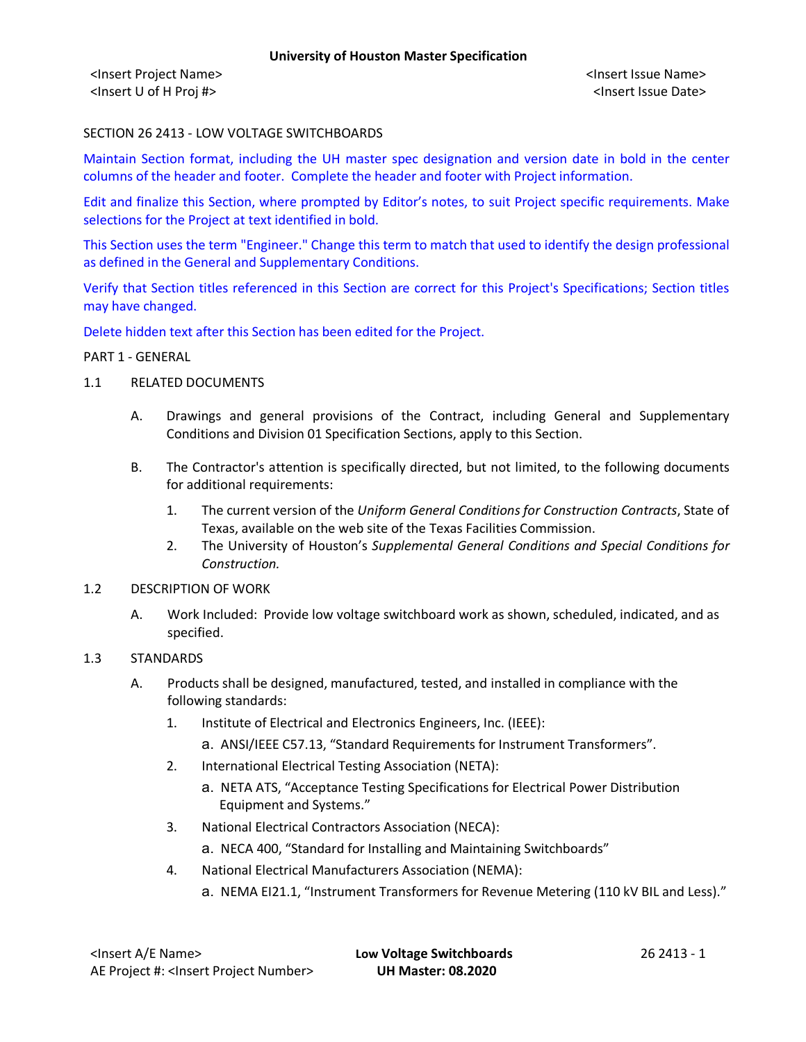<Insert Project Name> <Insert Issue Name> <Insert U of H Proj #> <Insert Issue Date>

# SECTION 26 2413 - LOW VOLTAGE SWITCHBOARDS

Maintain Section format, including the UH master spec designation and version date in bold in the center columns of the header and footer. Complete the header and footer with Project information.

Edit and finalize this Section, where prompted by Editor's notes, to suit Project specific requirements. Make selections for the Project at text identified in bold.

This Section uses the term "Engineer." Change this term to match that used to identify the design professional as defined in the General and Supplementary Conditions.

Verify that Section titles referenced in this Section are correct for this Project's Specifications; Section titles may have changed.

Delete hidden text after this Section has been edited for the Project.

### PART 1 - GENERAL

- 1.1 RELATED DOCUMENTS
	- A. Drawings and general provisions of the Contract, including General and Supplementary Conditions and Division 01 Specification Sections, apply to this Section.
	- B. The Contractor's attention is specifically directed, but not limited, to the following documents for additional requirements:
		- 1. The current version of the *Uniform General Conditions for Construction Contracts*, State of Texas, available on the web site of the Texas Facilities Commission.
		- 2. The University of Houston's *Supplemental General Conditions and Special Conditions for Construction.*

### 1.2 DESCRIPTION OF WORK

A. Work Included: Provide low voltage switchboard work as shown, scheduled, indicated, and as specified.

### 1.3 STANDARDS

- A. Products shall be designed, manufactured, tested, and installed in compliance with the following standards:
	- 1. Institute of Electrical and Electronics Engineers, Inc. (IEEE):
		- a. ANSI/IEEE C57.13, "Standard Requirements for Instrument Transformers".
	- 2. International Electrical Testing Association (NETA):
		- a. NETA ATS, "Acceptance Testing Specifications for Electrical Power Distribution Equipment and Systems."
	- 3. National Electrical Contractors Association (NECA):
		- a. NECA 400, "Standard for Installing and Maintaining Switchboards"
	- 4. National Electrical Manufacturers Association (NEMA):
		- a. NEMA EI21.1, "Instrument Transformers for Revenue Metering (110 kV BIL and Less)."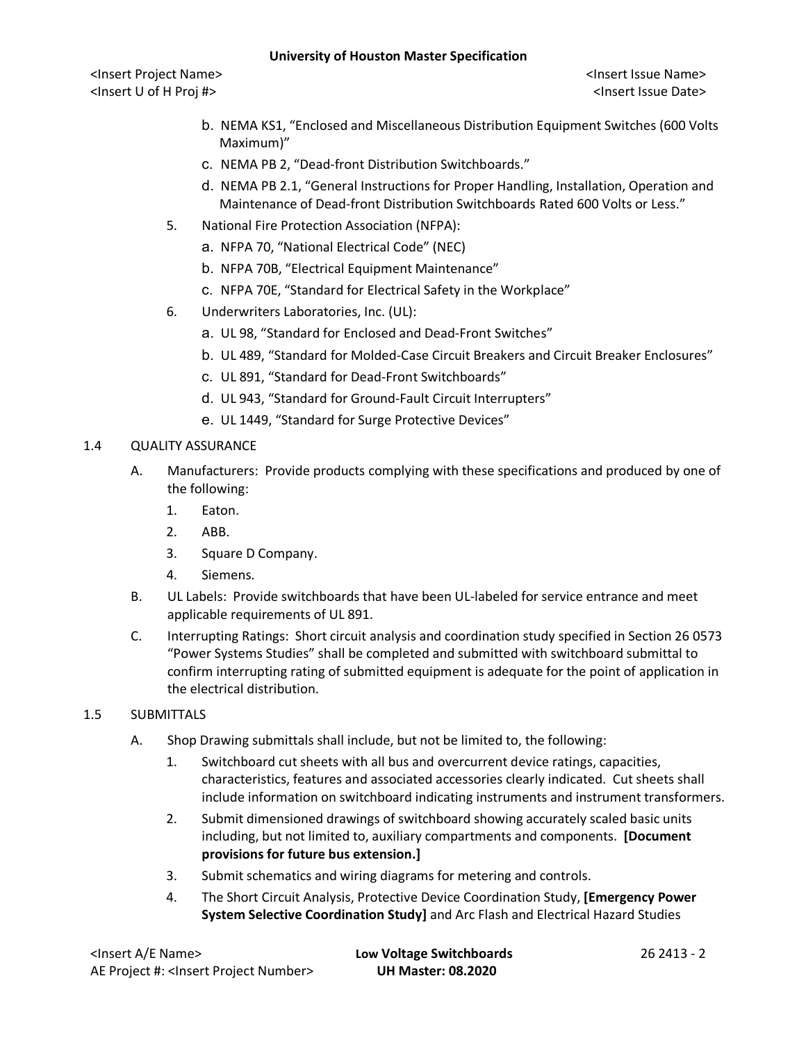<Insert Project Name> <Insert Issue Name> <Insert U of H Proj #> <Insert Issue Date>

- b. NEMA KS1, "Enclosed and Miscellaneous Distribution Equipment Switches (600 Volts Maximum)"
- c. NEMA PB 2, "Dead-front Distribution Switchboards."
- d. NEMA PB 2.1, "General Instructions for Proper Handling, Installation, Operation and Maintenance of Dead-front Distribution Switchboards Rated 600 Volts or Less."
- 5. National Fire Protection Association (NFPA):
	- a. NFPA 70, "National Electrical Code" (NEC)
	- b. NFPA 70B, "Electrical Equipment Maintenance"
	- c. NFPA 70E, "Standard for Electrical Safety in the Workplace"
- 6. Underwriters Laboratories, Inc. (UL):
	- a. UL 98, "Standard for Enclosed and Dead-Front Switches"
	- b. UL 489, "Standard for Molded-Case Circuit Breakers and Circuit Breaker Enclosures"
	- c. UL 891, "Standard for Dead-Front Switchboards"
	- d. UL 943, "Standard for Ground-Fault Circuit Interrupters"
	- e. UL 1449, "Standard for Surge Protective Devices"

# 1.4 QUALITY ASSURANCE

- A. Manufacturers: Provide products complying with these specifications and produced by one of the following:
	- 1. Eaton.
	- 2. ABB.
	- 3. Square D Company.
	- 4. Siemens.
- B. UL Labels: Provide switchboards that have been UL-labeled for service entrance and meet applicable requirements of UL 891.
- C. Interrupting Ratings: Short circuit analysis and coordination study specified in Section 26 0573 "Power Systems Studies" shall be completed and submitted with switchboard submittal to confirm interrupting rating of submitted equipment is adequate for the point of application in the electrical distribution.

# 1.5 SUBMITTALS

- A. Shop Drawing submittals shall include, but not be limited to, the following:
	- 1. Switchboard cut sheets with all bus and overcurrent device ratings, capacities, characteristics, features and associated accessories clearly indicated. Cut sheets shall include information on switchboard indicating instruments and instrument transformers.
	- 2. Submit dimensioned drawings of switchboard showing accurately scaled basic units including, but not limited to, auxiliary compartments and components. **[Document provisions for future bus extension.]**
	- 3. Submit schematics and wiring diagrams for metering and controls.
	- 4. The Short Circuit Analysis, Protective Device Coordination Study, **[Emergency Power System Selective Coordination Study]** and Arc Flash and Electrical Hazard Studies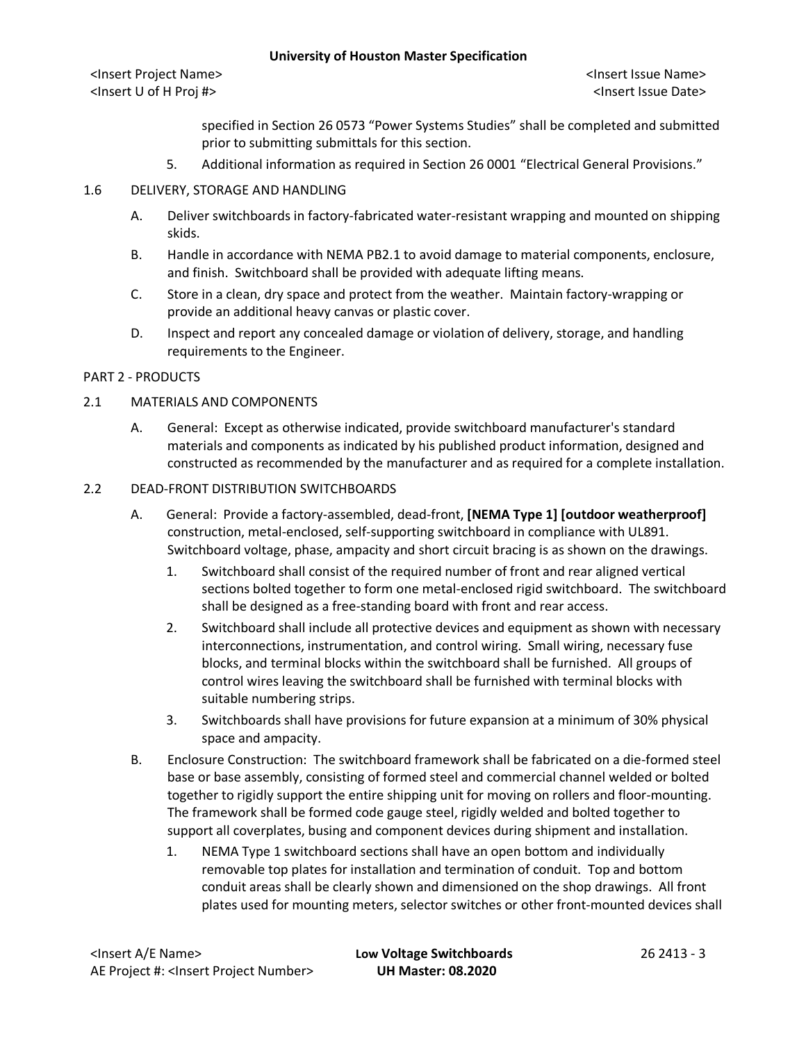<Insert Project Name> <Insert Issue Name> <Insert U of H Proj #> <Insert Issue Date>

specified in Section 26 0573 "Power Systems Studies" shall be completed and submitted prior to submitting submittals for this section.

5. Additional information as required in Section 26 0001 "Electrical General Provisions."

# 1.6 DELIVERY, STORAGE AND HANDLING

- A. Deliver switchboards in factory-fabricated water-resistant wrapping and mounted on shipping skids.
- B. Handle in accordance with NEMA PB2.1 to avoid damage to material components, enclosure, and finish. Switchboard shall be provided with adequate lifting means.
- C. Store in a clean, dry space and protect from the weather. Maintain factory-wrapping or provide an additional heavy canvas or plastic cover.
- D. Inspect and report any concealed damage or violation of delivery, storage, and handling requirements to the Engineer.

# PART 2 - PRODUCTS

# 2.1 MATERIALS AND COMPONENTS

A. General: Except as otherwise indicated, provide switchboard manufacturer's standard materials and components as indicated by his published product information, designed and constructed as recommended by the manufacturer and as required for a complete installation.

### 2.2 DEAD-FRONT DISTRIBUTION SWITCHBOARDS

- A. General: Provide a factory-assembled, dead-front, **[NEMA Type 1] [outdoor weatherproof]** construction, metal-enclosed, self-supporting switchboard in compliance with UL891. Switchboard voltage, phase, ampacity and short circuit bracing is as shown on the drawings.
	- 1. Switchboard shall consist of the required number of front and rear aligned vertical sections bolted together to form one metal-enclosed rigid switchboard. The switchboard shall be designed as a free-standing board with front and rear access.
	- 2. Switchboard shall include all protective devices and equipment as shown with necessary interconnections, instrumentation, and control wiring. Small wiring, necessary fuse blocks, and terminal blocks within the switchboard shall be furnished. All groups of control wires leaving the switchboard shall be furnished with terminal blocks with suitable numbering strips.
	- 3. Switchboards shall have provisions for future expansion at a minimum of 30% physical space and ampacity.
- B. Enclosure Construction: The switchboard framework shall be fabricated on a die-formed steel base or base assembly, consisting of formed steel and commercial channel welded or bolted together to rigidly support the entire shipping unit for moving on rollers and floor-mounting. The framework shall be formed code gauge steel, rigidly welded and bolted together to support all coverplates, busing and component devices during shipment and installation.
	- 1. NEMA Type 1 switchboard sections shall have an open bottom and individually removable top plates for installation and termination of conduit. Top and bottom conduit areas shall be clearly shown and dimensioned on the shop drawings. All front plates used for mounting meters, selector switches or other front-mounted devices shall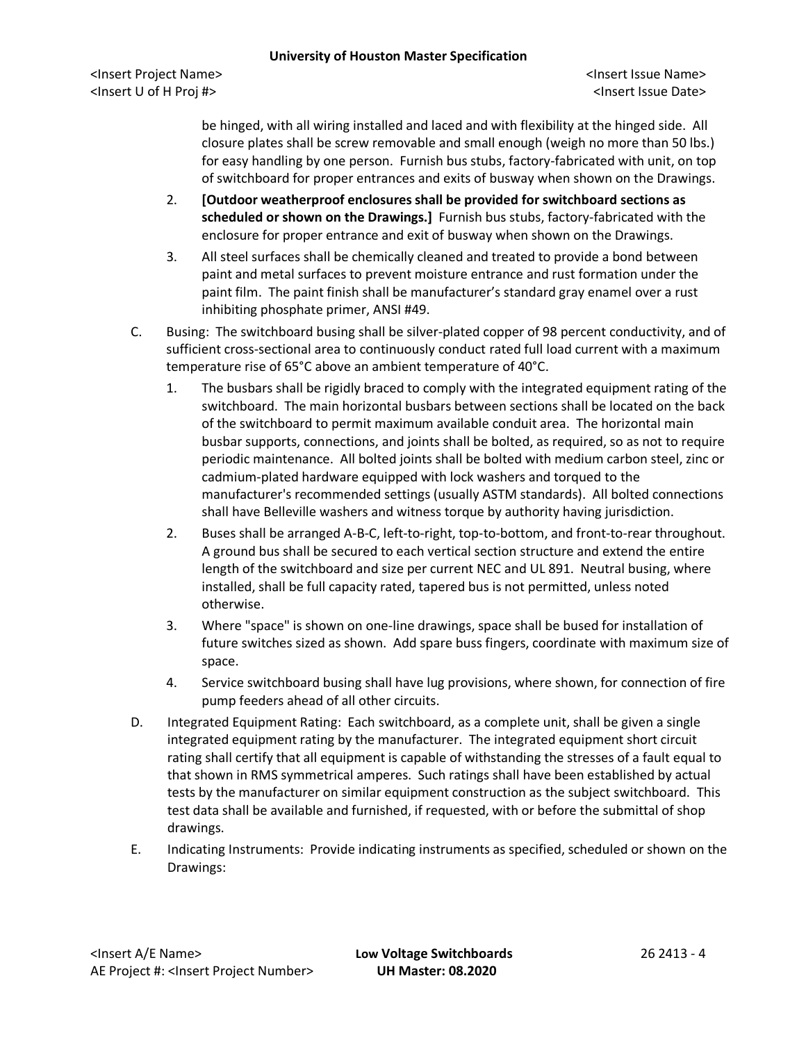<Insert Project Name> <Insert Issue Name> <Insert U of H Proj #> <Insert Issue Date>

be hinged, with all wiring installed and laced and with flexibility at the hinged side. All closure plates shall be screw removable and small enough (weigh no more than 50 lbs.) for easy handling by one person. Furnish bus stubs, factory-fabricated with unit, on top of switchboard for proper entrances and exits of busway when shown on the Drawings.

- 2. **[Outdoor weatherproof enclosures shall be provided for switchboard sections as scheduled or shown on the Drawings.]** Furnish bus stubs, factory-fabricated with the enclosure for proper entrance and exit of busway when shown on the Drawings.
- 3. All steel surfaces shall be chemically cleaned and treated to provide a bond between paint and metal surfaces to prevent moisture entrance and rust formation under the paint film. The paint finish shall be manufacturer's standard gray enamel over a rust inhibiting phosphate primer, ANSI #49.
- C. Busing: The switchboard busing shall be silver-plated copper of 98 percent conductivity, and of sufficient cross-sectional area to continuously conduct rated full load current with a maximum temperature rise of 65°C above an ambient temperature of 40°C.
	- 1. The busbars shall be rigidly braced to comply with the integrated equipment rating of the switchboard. The main horizontal busbars between sections shall be located on the back of the switchboard to permit maximum available conduit area. The horizontal main busbar supports, connections, and joints shall be bolted, as required, so as not to require periodic maintenance. All bolted joints shall be bolted with medium carbon steel, zinc or cadmium-plated hardware equipped with lock washers and torqued to the manufacturer's recommended settings (usually ASTM standards). All bolted connections shall have Belleville washers and witness torque by authority having jurisdiction.
	- 2. Buses shall be arranged A-B-C, left-to-right, top-to-bottom, and front-to-rear throughout. A ground bus shall be secured to each vertical section structure and extend the entire length of the switchboard and size per current NEC and UL 891. Neutral busing, where installed, shall be full capacity rated, tapered bus is not permitted, unless noted otherwise.
	- 3. Where "space" is shown on one-line drawings, space shall be bused for installation of future switches sized as shown. Add spare buss fingers, coordinate with maximum size of space.
	- 4. Service switchboard busing shall have lug provisions, where shown, for connection of fire pump feeders ahead of all other circuits.
- D. Integrated Equipment Rating: Each switchboard, as a complete unit, shall be given a single integrated equipment rating by the manufacturer. The integrated equipment short circuit rating shall certify that all equipment is capable of withstanding the stresses of a fault equal to that shown in RMS symmetrical amperes. Such ratings shall have been established by actual tests by the manufacturer on similar equipment construction as the subject switchboard. This test data shall be available and furnished, if requested, with or before the submittal of shop drawings.
- E. Indicating Instruments: Provide indicating instruments as specified, scheduled or shown on the Drawings: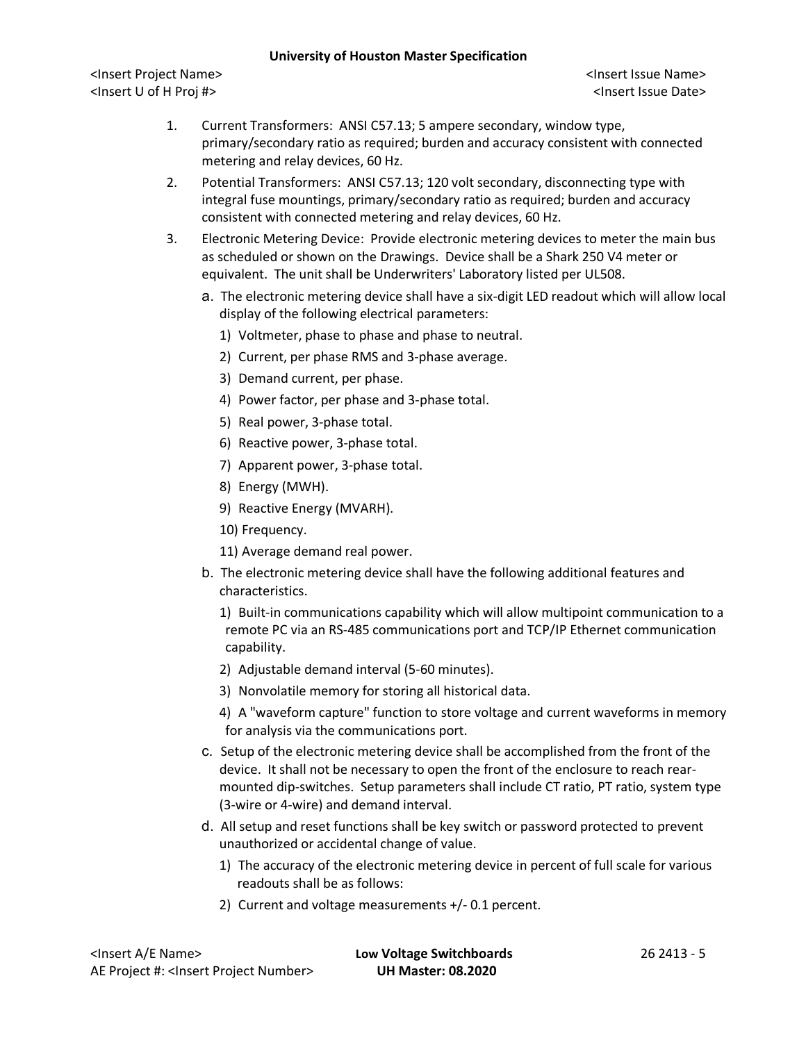<Insert Project Name> <Insert Issue Name> <Insert U of H Proj #> <Insert Issue Date>

- 1. Current Transformers: ANSI C57.13; 5 ampere secondary, window type, primary/secondary ratio as required; burden and accuracy consistent with connected metering and relay devices, 60 Hz.
- 2. Potential Transformers: ANSI C57.13; 120 volt secondary, disconnecting type with integral fuse mountings, primary/secondary ratio as required; burden and accuracy consistent with connected metering and relay devices, 60 Hz.
- 3. Electronic Metering Device: Provide electronic metering devices to meter the main bus as scheduled or shown on the Drawings. Device shall be a Shark 250 V4 meter or equivalent. The unit shall be Underwriters' Laboratory listed per UL508.
	- a. The electronic metering device shall have a six-digit LED readout which will allow local display of the following electrical parameters:
		- 1) Voltmeter, phase to phase and phase to neutral.
		- 2) Current, per phase RMS and 3-phase average.
		- 3) Demand current, per phase.
		- 4) Power factor, per phase and 3-phase total.
		- 5) Real power, 3-phase total.
		- 6) Reactive power, 3-phase total.
		- 7) Apparent power, 3-phase total.
		- 8) Energy (MWH).
		- 9) Reactive Energy (MVARH).
		- 10) Frequency.
		- 11) Average demand real power.
	- b. The electronic metering device shall have the following additional features and characteristics.
		- 1) Built-in communications capability which will allow multipoint communication to a remote PC via an RS-485 communications port and TCP/IP Ethernet communication capability.
		- 2) Adjustable demand interval (5-60 minutes).
		- 3) Nonvolatile memory for storing all historical data.
		- 4) A "waveform capture" function to store voltage and current waveforms in memory for analysis via the communications port.
	- c. Setup of the electronic metering device shall be accomplished from the front of the device. It shall not be necessary to open the front of the enclosure to reach rearmounted dip-switches. Setup parameters shall include CT ratio, PT ratio, system type (3-wire or 4-wire) and demand interval.
	- d. All setup and reset functions shall be key switch or password protected to prevent unauthorized or accidental change of value.
		- 1) The accuracy of the electronic metering device in percent of full scale for various readouts shall be as follows:
		- 2) Current and voltage measurements +/- 0.1 percent.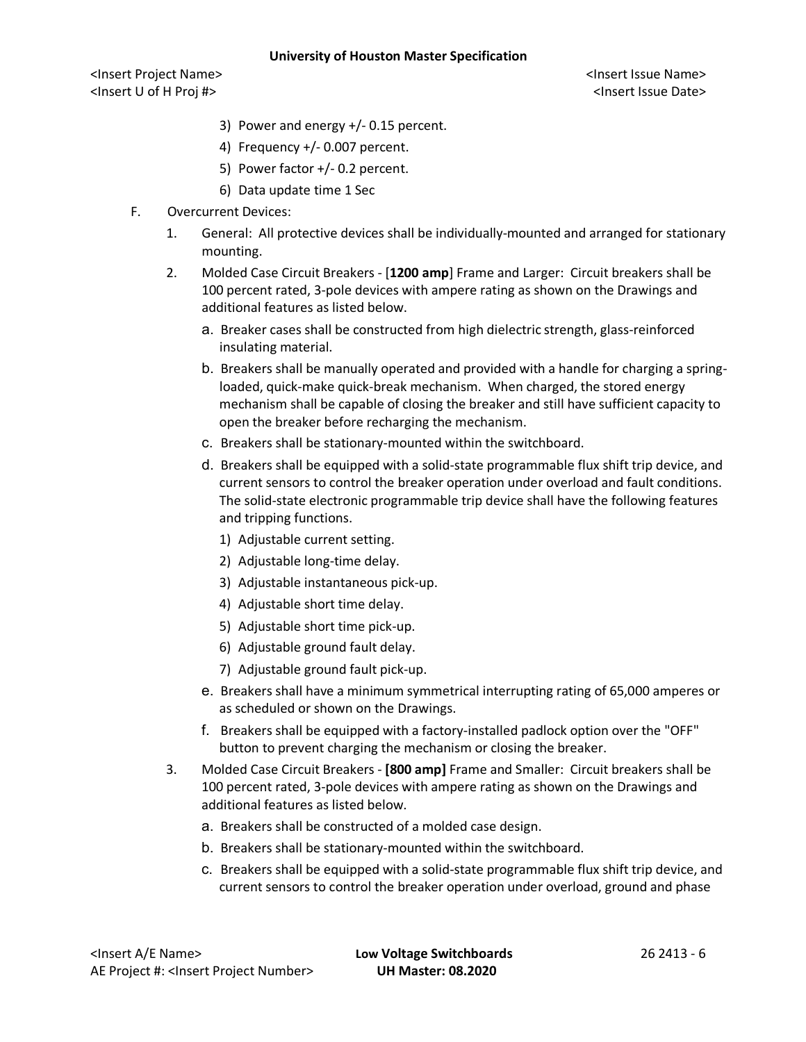<Insert Project Name> <Insert Issue Name> <Insert U of H Proj #> <Insert Issue Date>

- 3) Power and energy +/- 0.15 percent.
- 4) Frequency +/- 0.007 percent.
- 5) Power factor +/- 0.2 percent.
- 6) Data update time 1 Sec
- F. Overcurrent Devices:
	- 1. General: All protective devices shall be individually-mounted and arranged for stationary mounting.
	- 2. Molded Case Circuit Breakers [**1200 amp**] Frame and Larger: Circuit breakers shall be 100 percent rated, 3-pole devices with ampere rating as shown on the Drawings and additional features as listed below.
		- a. Breaker cases shall be constructed from high dielectric strength, glass-reinforced insulating material.
		- b. Breakers shall be manually operated and provided with a handle for charging a springloaded, quick-make quick-break mechanism. When charged, the stored energy mechanism shall be capable of closing the breaker and still have sufficient capacity to open the breaker before recharging the mechanism.
		- c. Breakers shall be stationary-mounted within the switchboard.
		- d. Breakers shall be equipped with a solid-state programmable flux shift trip device, and current sensors to control the breaker operation under overload and fault conditions. The solid-state electronic programmable trip device shall have the following features and tripping functions.
			- 1) Adjustable current setting.
			- 2) Adjustable long-time delay.
			- 3) Adjustable instantaneous pick-up.
			- 4) Adjustable short time delay.
			- 5) Adjustable short time pick-up.
			- 6) Adjustable ground fault delay.
			- 7) Adjustable ground fault pick-up.
		- e. Breakers shall have a minimum symmetrical interrupting rating of 65,000 amperes or as scheduled or shown on the Drawings.
		- f. Breakers shall be equipped with a factory-installed padlock option over the "OFF" button to prevent charging the mechanism or closing the breaker.
	- 3. Molded Case Circuit Breakers **[800 amp]** Frame and Smaller: Circuit breakers shall be 100 percent rated, 3-pole devices with ampere rating as shown on the Drawings and additional features as listed below.
		- a. Breakers shall be constructed of a molded case design.
		- b. Breakers shall be stationary-mounted within the switchboard.
		- c. Breakers shall be equipped with a solid-state programmable flux shift trip device, and current sensors to control the breaker operation under overload, ground and phase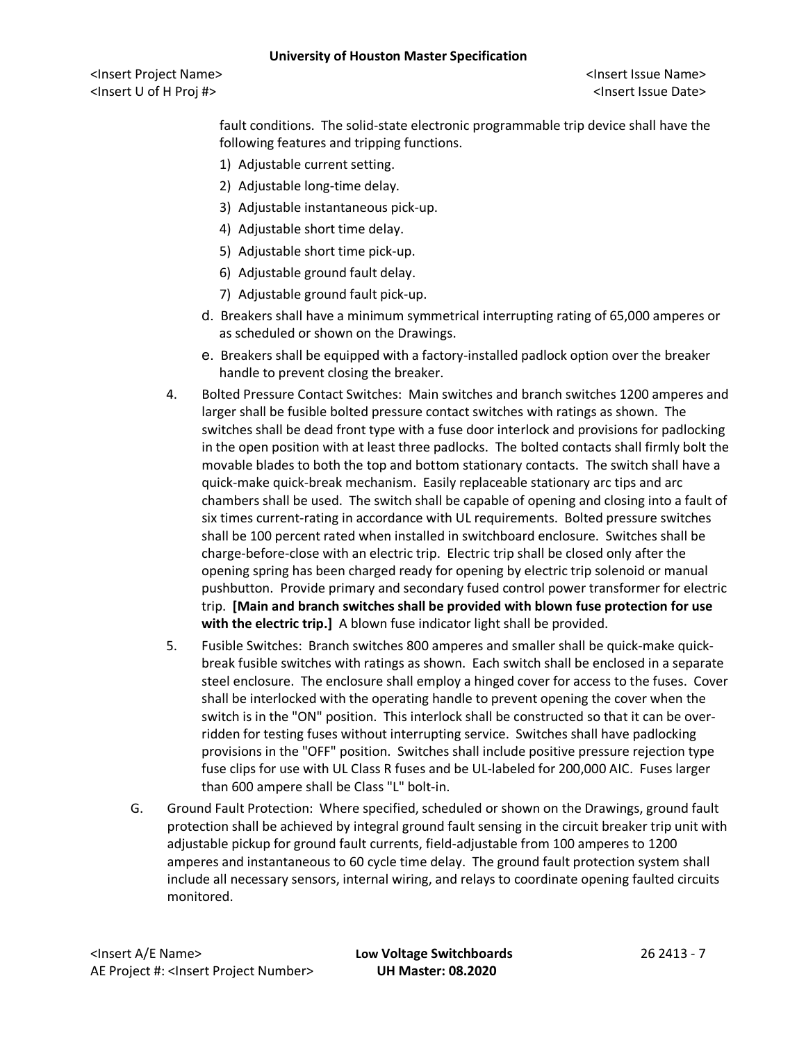<Insert Project Name> <Insert Issue Name> <Insert U of H Proj #> <Insert Issue Date>

fault conditions. The solid-state electronic programmable trip device shall have the following features and tripping functions.

- 1) Adjustable current setting.
- 2) Adjustable long-time delay.
- 3) Adjustable instantaneous pick-up.
- 4) Adjustable short time delay.
- 5) Adjustable short time pick-up.
- 6) Adjustable ground fault delay.
- 7) Adjustable ground fault pick-up.
- d. Breakers shall have a minimum symmetrical interrupting rating of 65,000 amperes or as scheduled or shown on the Drawings.
- e. Breakers shall be equipped with a factory-installed padlock option over the breaker handle to prevent closing the breaker.
- 4. Bolted Pressure Contact Switches: Main switches and branch switches 1200 amperes and larger shall be fusible bolted pressure contact switches with ratings as shown. The switches shall be dead front type with a fuse door interlock and provisions for padlocking in the open position with at least three padlocks. The bolted contacts shall firmly bolt the movable blades to both the top and bottom stationary contacts. The switch shall have a quick-make quick-break mechanism. Easily replaceable stationary arc tips and arc chambers shall be used. The switch shall be capable of opening and closing into a fault of six times current-rating in accordance with UL requirements. Bolted pressure switches shall be 100 percent rated when installed in switchboard enclosure. Switches shall be charge-before-close with an electric trip. Electric trip shall be closed only after the opening spring has been charged ready for opening by electric trip solenoid or manual pushbutton. Provide primary and secondary fused control power transformer for electric trip. **[Main and branch switches shall be provided with blown fuse protection for use with the electric trip.]** A blown fuse indicator light shall be provided.
- 5. Fusible Switches: Branch switches 800 amperes and smaller shall be quick-make quickbreak fusible switches with ratings as shown. Each switch shall be enclosed in a separate steel enclosure. The enclosure shall employ a hinged cover for access to the fuses. Cover shall be interlocked with the operating handle to prevent opening the cover when the switch is in the "ON" position. This interlock shall be constructed so that it can be overridden for testing fuses without interrupting service. Switches shall have padlocking provisions in the "OFF" position. Switches shall include positive pressure rejection type fuse clips for use with UL Class R fuses and be UL-labeled for 200,000 AIC. Fuses larger than 600 ampere shall be Class "L" bolt-in.
- G. Ground Fault Protection: Where specified, scheduled or shown on the Drawings, ground fault protection shall be achieved by integral ground fault sensing in the circuit breaker trip unit with adjustable pickup for ground fault currents, field-adjustable from 100 amperes to 1200 amperes and instantaneous to 60 cycle time delay. The ground fault protection system shall include all necessary sensors, internal wiring, and relays to coordinate opening faulted circuits monitored.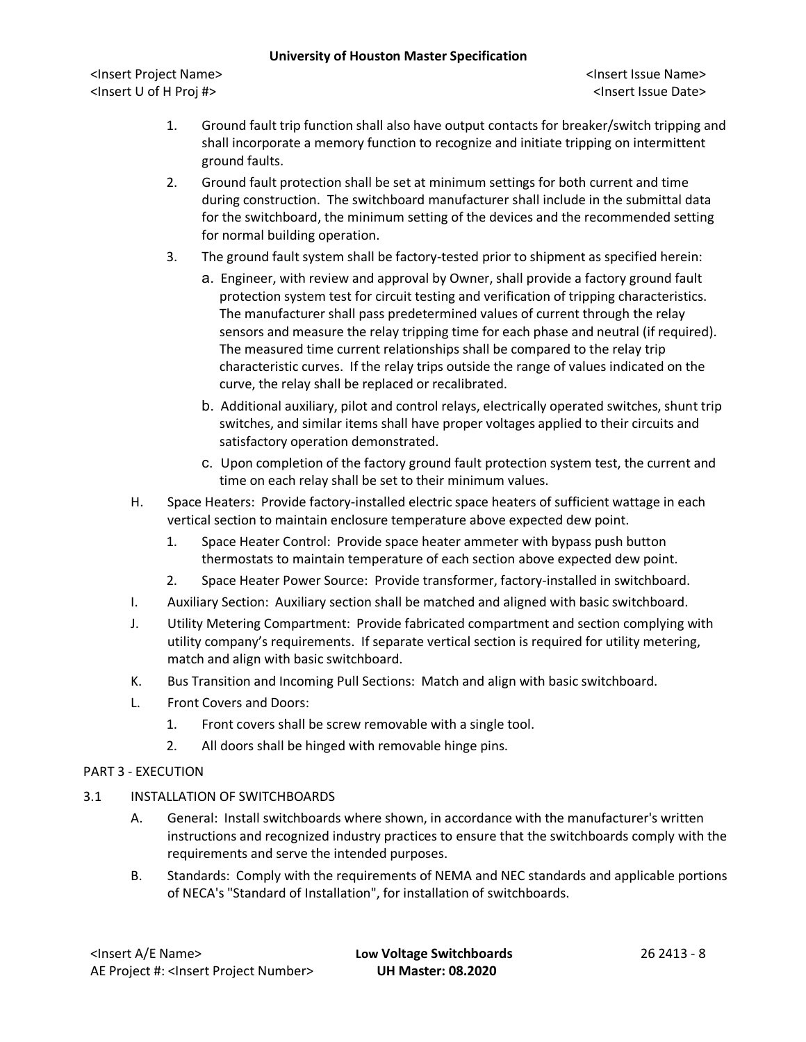<Insert Project Name> <Insert Issue Name> <Insert U of H Proj #> <Insert Issue Date>

- 1. Ground fault trip function shall also have output contacts for breaker/switch tripping and shall incorporate a memory function to recognize and initiate tripping on intermittent ground faults.
- 2. Ground fault protection shall be set at minimum settings for both current and time during construction. The switchboard manufacturer shall include in the submittal data for the switchboard, the minimum setting of the devices and the recommended setting for normal building operation.
- 3. The ground fault system shall be factory-tested prior to shipment as specified herein:
	- a. Engineer, with review and approval by Owner, shall provide a factory ground fault protection system test for circuit testing and verification of tripping characteristics. The manufacturer shall pass predetermined values of current through the relay sensors and measure the relay tripping time for each phase and neutral (if required). The measured time current relationships shall be compared to the relay trip characteristic curves. If the relay trips outside the range of values indicated on the curve, the relay shall be replaced or recalibrated.
	- b. Additional auxiliary, pilot and control relays, electrically operated switches, shunt trip switches, and similar items shall have proper voltages applied to their circuits and satisfactory operation demonstrated.
	- c. Upon completion of the factory ground fault protection system test, the current and time on each relay shall be set to their minimum values.
- H. Space Heaters: Provide factory-installed electric space heaters of sufficient wattage in each vertical section to maintain enclosure temperature above expected dew point.
	- 1. Space Heater Control: Provide space heater ammeter with bypass push button thermostats to maintain temperature of each section above expected dew point.
	- 2. Space Heater Power Source: Provide transformer, factory-installed in switchboard.
- I. Auxiliary Section: Auxiliary section shall be matched and aligned with basic switchboard.
- J. Utility Metering Compartment: Provide fabricated compartment and section complying with utility company's requirements. If separate vertical section is required for utility metering, match and align with basic switchboard.
- K. Bus Transition and Incoming Pull Sections: Match and align with basic switchboard.
- L. Front Covers and Doors:
	- 1. Front covers shall be screw removable with a single tool.
	- 2. All doors shall be hinged with removable hinge pins.

# PART 3 - EXECUTION

- 3.1 INSTALLATION OF SWITCHBOARDS
	- A. General: Install switchboards where shown, in accordance with the manufacturer's written instructions and recognized industry practices to ensure that the switchboards comply with the requirements and serve the intended purposes.
	- B. Standards: Comply with the requirements of NEMA and NEC standards and applicable portions of NECA's "Standard of Installation", for installation of switchboards.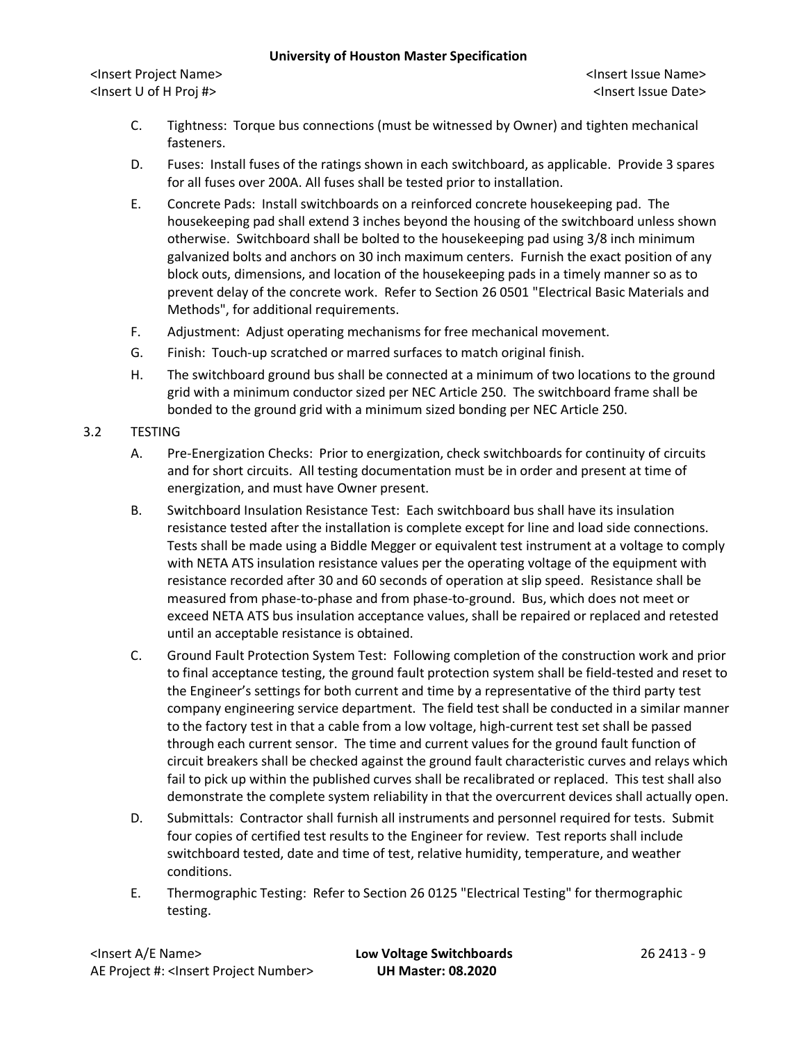<Insert Project Name> <Insert Issue Name> <Insert U of H Proj #> <Insert Issue Date>

- C. Tightness: Torque bus connections (must be witnessed by Owner) and tighten mechanical fasteners.
- D. Fuses: Install fuses of the ratings shown in each switchboard, as applicable. Provide 3 spares for all fuses over 200A. All fuses shall be tested prior to installation.
- E. Concrete Pads: Install switchboards on a reinforced concrete housekeeping pad. The housekeeping pad shall extend 3 inches beyond the housing of the switchboard unless shown otherwise. Switchboard shall be bolted to the housekeeping pad using 3/8 inch minimum galvanized bolts and anchors on 30 inch maximum centers. Furnish the exact position of any block outs, dimensions, and location of the housekeeping pads in a timely manner so as to prevent delay of the concrete work. Refer to Section 26 0501 "Electrical Basic Materials and Methods", for additional requirements.
- F. Adjustment: Adjust operating mechanisms for free mechanical movement.
- G. Finish: Touch-up scratched or marred surfaces to match original finish.
- H. The switchboard ground bus shall be connected at a minimum of two locations to the ground grid with a minimum conductor sized per NEC Article 250. The switchboard frame shall be bonded to the ground grid with a minimum sized bonding per NEC Article 250.

# 3.2 TESTING

- A. Pre-Energization Checks: Prior to energization, check switchboards for continuity of circuits and for short circuits. All testing documentation must be in order and present at time of energization, and must have Owner present.
- B. Switchboard Insulation Resistance Test: Each switchboard bus shall have its insulation resistance tested after the installation is complete except for line and load side connections. Tests shall be made using a Biddle Megger or equivalent test instrument at a voltage to comply with NETA ATS insulation resistance values per the operating voltage of the equipment with resistance recorded after 30 and 60 seconds of operation at slip speed. Resistance shall be measured from phase-to-phase and from phase-to-ground. Bus, which does not meet or exceed NETA ATS bus insulation acceptance values, shall be repaired or replaced and retested until an acceptable resistance is obtained.
- C. Ground Fault Protection System Test: Following completion of the construction work and prior to final acceptance testing, the ground fault protection system shall be field-tested and reset to the Engineer's settings for both current and time by a representative of the third party test company engineering service department. The field test shall be conducted in a similar manner to the factory test in that a cable from a low voltage, high-current test set shall be passed through each current sensor. The time and current values for the ground fault function of circuit breakers shall be checked against the ground fault characteristic curves and relays which fail to pick up within the published curves shall be recalibrated or replaced. This test shall also demonstrate the complete system reliability in that the overcurrent devices shall actually open.
- D. Submittals: Contractor shall furnish all instruments and personnel required for tests. Submit four copies of certified test results to the Engineer for review. Test reports shall include switchboard tested, date and time of test, relative humidity, temperature, and weather conditions.
- E. Thermographic Testing: Refer to Section 26 0125 "Electrical Testing" for thermographic testing.